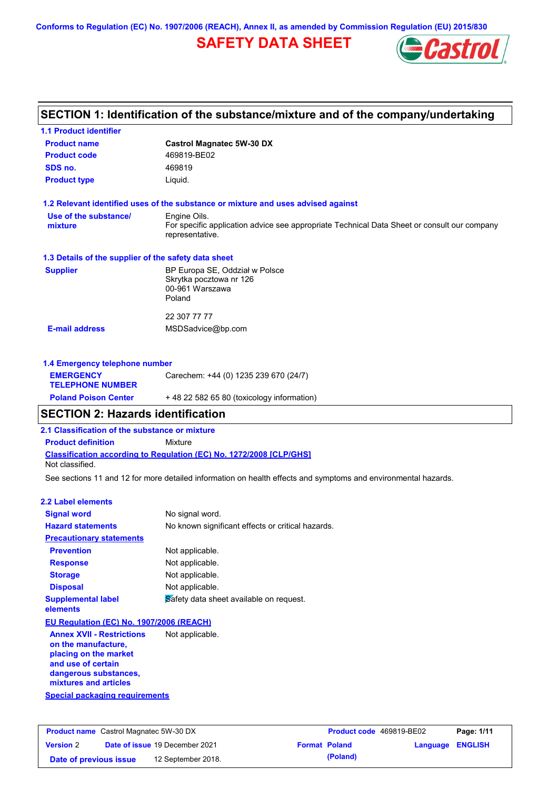**Conforms to Regulation (EC) No. 1907/2006 (REACH), Annex II, as amended by Commission Regulation (EU) 2015/830**

# **SAFETY DATA SHEET**



# **SECTION 1: Identification of the substance/mixture and of the company/undertaking**

| <b>1.1 Product identifier</b>                        |                                                                                                                |
|------------------------------------------------------|----------------------------------------------------------------------------------------------------------------|
| <b>Product name</b>                                  | <b>Castrol Magnatec 5W-30 DX</b>                                                                               |
| <b>Product code</b>                                  | 469819-BE02                                                                                                    |
| SDS no.                                              | 469819                                                                                                         |
| <b>Product type</b>                                  | Liquid.                                                                                                        |
|                                                      | 1.2 Relevant identified uses of the substance or mixture and uses advised against                              |
| Use of the substance/                                | Engine Oils.                                                                                                   |
| mixture                                              | For specific application advice see appropriate Technical Data Sheet or consult our company<br>representative. |
| 1.3 Details of the supplier of the safety data sheet |                                                                                                                |
| <b>Supplier</b>                                      | BP Europa SE, Oddział w Polsce                                                                                 |
|                                                      | Skrytka pocztowa nr 126<br>00-961 Warszawa                                                                     |
|                                                      | Poland                                                                                                         |
|                                                      | 22 307 77 77                                                                                                   |
| <b>E-mail address</b>                                | MSDSadvice@bp.com                                                                                              |
| 1.4 Emergency telephone number                       |                                                                                                                |
| <b>EMERGENCY</b>                                     |                                                                                                                |
| <b>TELEPHONE NUMBER</b>                              | Carechem: +44 (0) 1235 239 670 (24/7)                                                                          |

### **SECTION 2: Hazards identification**

**2.1 Classification of the substance or mixture**

**Product definition** Mixture

**Classification according to Regulation (EC) No. 1272/2008 [CLP/GHS]** Not classified.

**Poland Poison Center** + 48 22 582 65 80 (toxicology information)

See sections 11 and 12 for more detailed information on health effects and symptoms and environmental hazards.

#### **2.2 Label elements**

| <b>Signal word</b>                       | No signal word.                                   |
|------------------------------------------|---------------------------------------------------|
| <b>Hazard statements</b>                 | No known significant effects or critical hazards. |
| <b>Precautionary statements</b>          |                                                   |
| <b>Prevention</b>                        | Not applicable.                                   |
| <b>Response</b>                          | Not applicable.                                   |
| <b>Storage</b>                           | Not applicable.                                   |
| <b>Disposal</b>                          | Not applicable.                                   |
| <b>Supplemental label</b><br>elements    | Safety data sheet available on request.           |
| EU Regulation (EC) No. 1907/2006 (REACH) |                                                   |

**Annex XVII - Restrictions on the manufacture, placing on the market and use of certain dangerous substances, mixtures and articles** Not applicable.

**Special packaging requirements**

| <b>Product name</b> Castrol Magnatec 5W-30 DX |  | <b>Product code</b> 469819-BE02       |  | Page: 1/11           |                  |  |
|-----------------------------------------------|--|---------------------------------------|--|----------------------|------------------|--|
| <b>Version 2</b>                              |  | <b>Date of issue 19 December 2021</b> |  | <b>Format Poland</b> | Language ENGLISH |  |
| Date of previous issue                        |  | 12 September 2018.                    |  | (Poland)             |                  |  |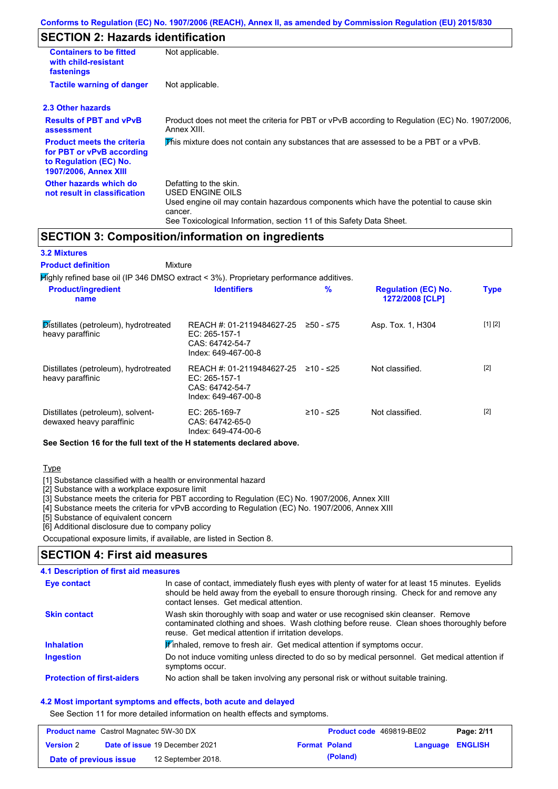# **SECTION 2: Hazards identification**

| <b>Containers to be fitted</b><br>with child-resistant<br>fastenings                                                     | Not applicable.                                                                                                                                                                                                          |  |  |  |  |
|--------------------------------------------------------------------------------------------------------------------------|--------------------------------------------------------------------------------------------------------------------------------------------------------------------------------------------------------------------------|--|--|--|--|
| <b>Tactile warning of danger</b>                                                                                         | Not applicable.                                                                                                                                                                                                          |  |  |  |  |
| 2.3 Other hazards                                                                                                        |                                                                                                                                                                                                                          |  |  |  |  |
| <b>Results of PBT and vPvB</b><br>assessment                                                                             | Product does not meet the criteria for PBT or vPvB according to Regulation (EC) No. 1907/2006,<br>Annex XIII.                                                                                                            |  |  |  |  |
| <b>Product meets the criteria</b><br>for PBT or vPvB according<br>to Regulation (EC) No.<br><b>1907/2006, Annex XIII</b> | This mixture does not contain any substances that are assessed to be a PBT or a vPvB.                                                                                                                                    |  |  |  |  |
| Other hazards which do<br>not result in classification                                                                   | Defatting to the skin.<br>USED ENGINE OILS<br>Used engine oil may contain hazardous components which have the potential to cause skin<br>cancer.<br>See Toxicological Information, section 11 of this Safety Data Sheet. |  |  |  |  |

### **SECTION 3: Composition/information on ingredients**

### **3.2 Mixtures**

Mixture **Product definition**

| $H$ ighly refined base oil (IP 346 DMSO extract < 3%). Proprietary performance additives. |                                                                                        |             |                                               |             |  |
|-------------------------------------------------------------------------------------------|----------------------------------------------------------------------------------------|-------------|-----------------------------------------------|-------------|--|
| <b>Product/ingredient</b><br>name                                                         | <b>Identifiers</b>                                                                     | $\%$        | <b>Regulation (EC) No.</b><br>1272/2008 [CLP] | <b>Type</b> |  |
| Distillates (petroleum), hydrotreated<br>heavy paraffinic                                 | REACH #: 01-2119484627-25<br>EC: $265-157-1$<br>CAS: 64742-54-7<br>Index: 649-467-00-8 | $≥50 - ≤75$ | Asp. Tox. 1, H304                             | [1] [2]     |  |
| Distillates (petroleum), hydrotreated<br>heavy paraffinic                                 | REACH #: 01-2119484627-25<br>EC: 265-157-1<br>CAS: 64742-54-7<br>Index: 649-467-00-8   | $≥10 - ≤25$ | Not classified.                               | $[2]$       |  |
| Distillates (petroleum), solvent-<br>dewaxed heavy paraffinic                             | $EC: 265-169-7$<br>CAS: 64742-65-0<br>Index: 649-474-00-6                              | $≥10 - ≤25$ | Not classified.                               | $[2]$       |  |

**See Section 16 for the full text of the H statements declared above.**

### Type

[1] Substance classified with a health or environmental hazard

[2] Substance with a workplace exposure limit

[3] Substance meets the criteria for PBT according to Regulation (EC) No. 1907/2006, Annex XIII

[4] Substance meets the criteria for vPvB according to Regulation (EC) No. 1907/2006, Annex XIII

[5] Substance of equivalent concern

[6] Additional disclosure due to company policy

**SECTION 4: First aid measures**

Occupational exposure limits, if available, are listed in Section 8.

# **4.1 Description of first aid measures**

| Eye contact                       | In case of contact, immediately flush eyes with plenty of water for at least 15 minutes. Eyelids<br>should be held away from the eyeball to ensure thorough rinsing. Check for and remove any<br>contact lenses. Get medical attention. |
|-----------------------------------|-----------------------------------------------------------------------------------------------------------------------------------------------------------------------------------------------------------------------------------------|
| <b>Skin contact</b>               | Wash skin thoroughly with soap and water or use recognised skin cleanser. Remove<br>contaminated clothing and shoes. Wash clothing before reuse. Clean shoes thoroughly before<br>reuse. Get medical attention if irritation develops.  |
| <b>Inhalation</b>                 | Winhaled, remove to fresh air. Get medical attention if symptoms occur.                                                                                                                                                                 |
| <b>Ingestion</b>                  | Do not induce vomiting unless directed to do so by medical personnel. Get medical attention if<br>symptoms occur.                                                                                                                       |
| <b>Protection of first-aiders</b> | No action shall be taken involving any personal risk or without suitable training.                                                                                                                                                      |

### **4.2 Most important symptoms and effects, both acute and delayed**

See Section 11 for more detailed information on health effects and symptoms.

| <b>Product name</b> Castrol Magnatec 5W-30 DX |  | <b>Product code</b> 469819-BE02       |  | Page: 2/11           |                         |  |
|-----------------------------------------------|--|---------------------------------------|--|----------------------|-------------------------|--|
| <b>Version 2</b>                              |  | <b>Date of issue 19 December 2021</b> |  | <b>Format Poland</b> | <b>Language ENGLISH</b> |  |
| Date of previous issue                        |  | 12 September 2018.                    |  | (Poland)             |                         |  |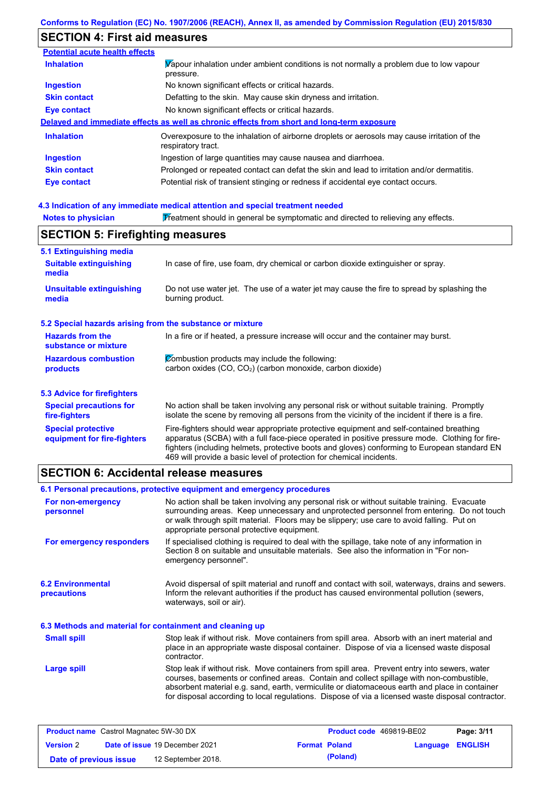# **SECTION 4: First aid measures**

| <b>Potential acute health effects</b> |                                                                                                                   |
|---------------------------------------|-------------------------------------------------------------------------------------------------------------------|
| <b>Inhalation</b>                     | Vapour inhalation under ambient conditions is not normally a problem due to low vapour<br>pressure.               |
| <b>Ingestion</b>                      | No known significant effects or critical hazards.                                                                 |
| <b>Skin contact</b>                   | Defatting to the skin. May cause skin dryness and irritation.                                                     |
| <b>Eye contact</b>                    | No known significant effects or critical hazards.                                                                 |
|                                       | Delayed and immediate effects as well as chronic effects from short and long-term exposure                        |
| <b>Inhalation</b>                     | Overexposure to the inhalation of airborne droplets or aerosols may cause irritation of the<br>respiratory tract. |
| <b>Ingestion</b>                      | Ingestion of large quantities may cause nausea and diarrhoea.                                                     |
| <b>Skin contact</b>                   | Prolonged or repeated contact can defat the skin and lead to irritation and/or dermatitis.                        |
| Eye contact                           | Potential risk of transient stinging or redness if accidental eye contact occurs.                                 |

### **4.3 Indication of any immediate medical attention and special treatment needed**

| <b>Notes to physician</b>                                         | Treatment should in general be symptomatic and directed to relieving any effects.                                                                                                                                                                                                                                                                                 |  |  |  |  |
|-------------------------------------------------------------------|-------------------------------------------------------------------------------------------------------------------------------------------------------------------------------------------------------------------------------------------------------------------------------------------------------------------------------------------------------------------|--|--|--|--|
| <b>SECTION 5: Firefighting measures</b>                           |                                                                                                                                                                                                                                                                                                                                                                   |  |  |  |  |
| 5.1 Extinguishing media<br><b>Suitable extinguishing</b><br>media | In case of fire, use foam, dry chemical or carbon dioxide extinguisher or spray.                                                                                                                                                                                                                                                                                  |  |  |  |  |
| <b>Unsuitable extinguishing</b><br>media                          | Do not use water jet. The use of a water jet may cause the fire to spread by splashing the<br>burning product.                                                                                                                                                                                                                                                    |  |  |  |  |
| 5.2 Special hazards arising from the substance or mixture         |                                                                                                                                                                                                                                                                                                                                                                   |  |  |  |  |
| <b>Hazards from the</b><br>substance or mixture                   | In a fire or if heated, a pressure increase will occur and the container may burst.                                                                                                                                                                                                                                                                               |  |  |  |  |
| <b>Hazardous combustion</b><br>products                           | Combustion products may include the following:<br>carbon oxides (CO, CO <sub>2</sub> ) (carbon monoxide, carbon dioxide)                                                                                                                                                                                                                                          |  |  |  |  |
| <b>5.3 Advice for firefighters</b>                                |                                                                                                                                                                                                                                                                                                                                                                   |  |  |  |  |
| <b>Special precautions for</b><br>fire-fighters                   | No action shall be taken involving any personal risk or without suitable training. Promptly<br>isolate the scene by removing all persons from the vicinity of the incident if there is a fire.                                                                                                                                                                    |  |  |  |  |
| <b>Special protective</b><br>equipment for fire-fighters          | Fire-fighters should wear appropriate protective equipment and self-contained breathing<br>apparatus (SCBA) with a full face-piece operated in positive pressure mode. Clothing for fire-<br>fighters (including helmets, protective boots and gloves) conforming to European standard EN<br>469 will provide a basic level of protection for chemical incidents. |  |  |  |  |

# **SECTION 6: Accidental release measures**

|                                                          | 6.1 Personal precautions, protective equipment and emergency procedures                                                                                                                                                                                                                                                                                                                        |  |  |  |  |
|----------------------------------------------------------|------------------------------------------------------------------------------------------------------------------------------------------------------------------------------------------------------------------------------------------------------------------------------------------------------------------------------------------------------------------------------------------------|--|--|--|--|
| For non-emergency<br>personnel                           | No action shall be taken involving any personal risk or without suitable training. Evacuate<br>surrounding areas. Keep unnecessary and unprotected personnel from entering. Do not touch<br>or walk through spilt material. Floors may be slippery; use care to avoid falling. Put on<br>appropriate personal protective equipment.                                                            |  |  |  |  |
| For emergency responders                                 | If specialised clothing is required to deal with the spillage, take note of any information in<br>Section 8 on suitable and unsuitable materials. See also the information in "For non-<br>emergency personnel".                                                                                                                                                                               |  |  |  |  |
| <b>6.2 Environmental</b><br>precautions                  | Avoid dispersal of spilt material and runoff and contact with soil, waterways, drains and sewers.<br>Inform the relevant authorities if the product has caused environmental pollution (sewers,<br>waterways, soil or air).                                                                                                                                                                    |  |  |  |  |
| 6.3 Methods and material for containment and cleaning up |                                                                                                                                                                                                                                                                                                                                                                                                |  |  |  |  |
| <b>Small spill</b>                                       | Stop leak if without risk. Move containers from spill area. Absorb with an inert material and<br>place in an appropriate waste disposal container. Dispose of via a licensed waste disposal<br>contractor.                                                                                                                                                                                     |  |  |  |  |
| Large spill                                              | Stop leak if without risk. Move containers from spill area. Prevent entry into sewers, water<br>courses, basements or confined areas. Contain and collect spillage with non-combustible,<br>absorbent material e.g. sand, earth, vermiculite or diatomaceous earth and place in container<br>for disposal according to local regulations. Dispose of via a licensed waste disposal contractor. |  |  |  |  |

| <b>Product name</b> Castrol Magnatec 5W-30 DX |  | <b>Product code</b> 469819-BE02       |                      | Page: 3/11 |                  |  |
|-----------------------------------------------|--|---------------------------------------|----------------------|------------|------------------|--|
| <b>Version 2</b>                              |  | <b>Date of issue 19 December 2021</b> | <b>Format Poland</b> |            | Language ENGLISH |  |
| Date of previous issue                        |  | 12 September 2018.                    |                      | (Poland)   |                  |  |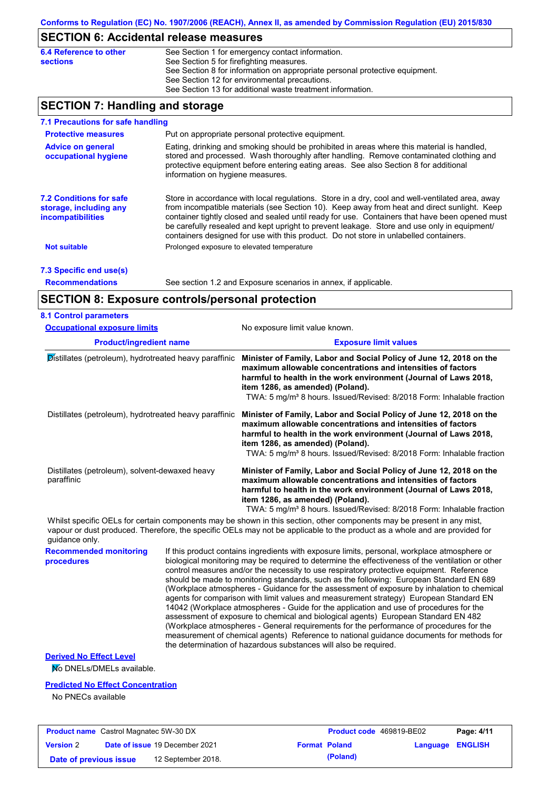### **SECTION 6: Accidental release measures**

| 6.4 Reference to other | See Section 1 for emergency contact information.                            |
|------------------------|-----------------------------------------------------------------------------|
| <b>sections</b>        | See Section 5 for firefighting measures.                                    |
|                        | See Section 8 for information on appropriate personal protective equipment. |
|                        | See Section 12 for environmental precautions.                               |
|                        | See Section 13 for additional waste treatment information.                  |
|                        |                                                                             |

# **SECTION 7: Handling and storage**

| 7.1 Precautions for safe handling                                                    |                                                                                                                                                                                                                                                                                                                                                                                                                                                                                          |
|--------------------------------------------------------------------------------------|------------------------------------------------------------------------------------------------------------------------------------------------------------------------------------------------------------------------------------------------------------------------------------------------------------------------------------------------------------------------------------------------------------------------------------------------------------------------------------------|
| <b>Protective measures</b>                                                           | Put on appropriate personal protective equipment.                                                                                                                                                                                                                                                                                                                                                                                                                                        |
| <b>Advice on general</b><br>occupational hygiene                                     | Eating, drinking and smoking should be prohibited in areas where this material is handled,<br>stored and processed. Wash thoroughly after handling. Remove contaminated clothing and<br>protective equipment before entering eating areas. See also Section 8 for additional<br>information on hygiene measures.                                                                                                                                                                         |
| <b>7.2 Conditions for safe</b><br>storage, including any<br><i>incompatibilities</i> | Store in accordance with local requiations. Store in a dry, cool and well-ventilated area, away<br>from incompatible materials (see Section 10). Keep away from heat and direct sunlight. Keep<br>container tightly closed and sealed until ready for use. Containers that have been opened must<br>be carefully resealed and kept upright to prevent leakage. Store and use only in equipment/<br>containers designed for use with this product. Do not store in unlabelled containers. |
| <b>Not suitable</b>                                                                  | Prolonged exposure to elevated temperature                                                                                                                                                                                                                                                                                                                                                                                                                                               |
| 7.3 Specific end use(s)                                                              |                                                                                                                                                                                                                                                                                                                                                                                                                                                                                          |
| <b>Recommendations</b>                                                               | See section 1.2 and Exposure scenarios in annex, if applicable.                                                                                                                                                                                                                                                                                                                                                                                                                          |

# **SECTION 8: Exposure controls/personal protection**

| <b>Occupational exposure limits</b>                          | No exposure limit value known.                                                                                                                                                                                                                                                                                                  |  |  |  |  |
|--------------------------------------------------------------|---------------------------------------------------------------------------------------------------------------------------------------------------------------------------------------------------------------------------------------------------------------------------------------------------------------------------------|--|--|--|--|
| <b>Product/ingredient name</b>                               | <b>Exposure limit values</b>                                                                                                                                                                                                                                                                                                    |  |  |  |  |
| Distillates (petroleum), hydrotreated heavy paraffinic       | Minister of Family, Labor and Social Policy of June 12, 2018 on the<br>maximum allowable concentrations and intensities of factors<br>harmful to health in the work environment (Journal of Laws 2018,<br>item 1286, as amended) (Poland).                                                                                      |  |  |  |  |
|                                                              | TWA: 5 mg/m <sup>3</sup> 8 hours. Issued/Revised: 8/2018 Form: Inhalable fraction                                                                                                                                                                                                                                               |  |  |  |  |
| Distillates (petroleum), hydrotreated heavy paraffinic       | Minister of Family, Labor and Social Policy of June 12, 2018 on the<br>maximum allowable concentrations and intensities of factors<br>harmful to health in the work environment (Journal of Laws 2018,<br>item 1286, as amended) (Poland).<br>TWA: 5 mg/m <sup>3</sup> 8 hours. Issued/Revised: 8/2018 Form: Inhalable fraction |  |  |  |  |
|                                                              |                                                                                                                                                                                                                                                                                                                                 |  |  |  |  |
| Distillates (petroleum), solvent-dewaxed heavy<br>paraffinic | Minister of Family, Labor and Social Policy of June 12, 2018 on the<br>maximum allowable concentrations and intensities of factors<br>harmful to health in the work environment (Journal of Laws 2018,<br>item 1286, as amended) (Poland).                                                                                      |  |  |  |  |
|                                                              | TWA: 5 mg/m <sup>3</sup> 8 hours. Issued/Revised: 8/2018 Form: Inhalable fraction                                                                                                                                                                                                                                               |  |  |  |  |

Whilst specific OELs for certain components may be shown in this section, other components may be present in any mist, vapour or dust produced. Therefore, the specific OELs may not be applicable to the product as a whole and are provided for guidance only.

**Recommended monitoring**  If this product contains ingredients with exposure limits, personal, workplace atmosphere or biological monitoring may be required to determine the effectiveness of the ventilation or other control measures and/or the necessity to use respiratory protective equipment. Reference should be made to monitoring standards, such as the following: European Standard EN 689 (Workplace atmospheres - Guidance for the assessment of exposure by inhalation to chemical agents for comparison with limit values and measurement strategy) European Standard EN 14042 (Workplace atmospheres - Guide for the application and use of procedures for the assessment of exposure to chemical and biological agents) European Standard EN 482 (Workplace atmospheres - General requirements for the performance of procedures for the measurement of chemical agents) Reference to national guidance documents for methods for the determination of hazardous substances will also be required.

**Derived No Effect Level**

**procedures**

No DNELs/DMELs available.

### **Predicted No Effect Concentration**

No PNECs available

| <b>Product name</b> Castrol Magnatec 5W-30 DX |  | <b>Product code</b> 469819-BE02       |  | Page: 4/11           |                  |  |
|-----------------------------------------------|--|---------------------------------------|--|----------------------|------------------|--|
| <b>Version 2</b>                              |  | <b>Date of issue 19 December 2021</b> |  | <b>Format Poland</b> | Language ENGLISH |  |
| Date of previous issue                        |  | 12 September 2018.                    |  | (Poland)             |                  |  |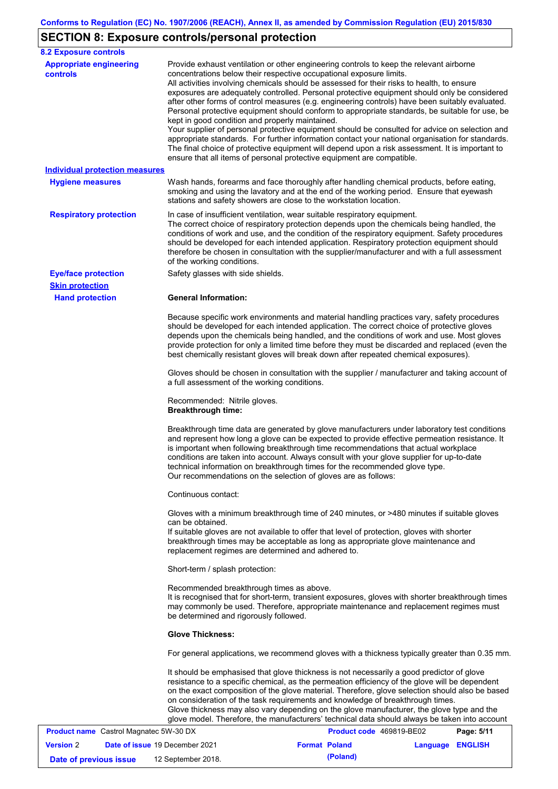# **SECTION 8: Exposure controls/personal protection**

| <b>8.2 Exposure controls</b>                      |                                                                                                                                                                                                                                                                                                                                                                                                                                                                                                                                                                                                                                                                                                                                                                                                                                                                                                                                                                                                         |
|---------------------------------------------------|---------------------------------------------------------------------------------------------------------------------------------------------------------------------------------------------------------------------------------------------------------------------------------------------------------------------------------------------------------------------------------------------------------------------------------------------------------------------------------------------------------------------------------------------------------------------------------------------------------------------------------------------------------------------------------------------------------------------------------------------------------------------------------------------------------------------------------------------------------------------------------------------------------------------------------------------------------------------------------------------------------|
| <b>Appropriate engineering</b><br><b>controls</b> | Provide exhaust ventilation or other engineering controls to keep the relevant airborne<br>concentrations below their respective occupational exposure limits.<br>All activities involving chemicals should be assessed for their risks to health, to ensure<br>exposures are adequately controlled. Personal protective equipment should only be considered<br>after other forms of control measures (e.g. engineering controls) have been suitably evaluated.<br>Personal protective equipment should conform to appropriate standards, be suitable for use, be<br>kept in good condition and properly maintained.<br>Your supplier of personal protective equipment should be consulted for advice on selection and<br>appropriate standards. For further information contact your national organisation for standards.<br>The final choice of protective equipment will depend upon a risk assessment. It is important to<br>ensure that all items of personal protective equipment are compatible. |
| <b>Individual protection measures</b>             |                                                                                                                                                                                                                                                                                                                                                                                                                                                                                                                                                                                                                                                                                                                                                                                                                                                                                                                                                                                                         |
| <b>Hygiene measures</b>                           | Wash hands, forearms and face thoroughly after handling chemical products, before eating,<br>smoking and using the lavatory and at the end of the working period. Ensure that eyewash<br>stations and safety showers are close to the workstation location.                                                                                                                                                                                                                                                                                                                                                                                                                                                                                                                                                                                                                                                                                                                                             |
| <b>Respiratory protection</b>                     | In case of insufficient ventilation, wear suitable respiratory equipment.<br>The correct choice of respiratory protection depends upon the chemicals being handled, the<br>conditions of work and use, and the condition of the respiratory equipment. Safety procedures<br>should be developed for each intended application. Respiratory protection equipment should<br>therefore be chosen in consultation with the supplier/manufacturer and with a full assessment<br>of the working conditions.                                                                                                                                                                                                                                                                                                                                                                                                                                                                                                   |
| <b>Eye/face protection</b>                        | Safety glasses with side shields.                                                                                                                                                                                                                                                                                                                                                                                                                                                                                                                                                                                                                                                                                                                                                                                                                                                                                                                                                                       |
| <b>Skin protection</b><br><b>Hand protection</b>  | <b>General Information:</b>                                                                                                                                                                                                                                                                                                                                                                                                                                                                                                                                                                                                                                                                                                                                                                                                                                                                                                                                                                             |
|                                                   | Because specific work environments and material handling practices vary, safety procedures<br>should be developed for each intended application. The correct choice of protective gloves<br>depends upon the chemicals being handled, and the conditions of work and use. Most gloves<br>provide protection for only a limited time before they must be discarded and replaced (even the<br>best chemically resistant gloves will break down after repeated chemical exposures).                                                                                                                                                                                                                                                                                                                                                                                                                                                                                                                        |
|                                                   | Gloves should be chosen in consultation with the supplier / manufacturer and taking account of<br>a full assessment of the working conditions.                                                                                                                                                                                                                                                                                                                                                                                                                                                                                                                                                                                                                                                                                                                                                                                                                                                          |
|                                                   | Recommended: Nitrile gloves.<br><b>Breakthrough time:</b>                                                                                                                                                                                                                                                                                                                                                                                                                                                                                                                                                                                                                                                                                                                                                                                                                                                                                                                                               |
|                                                   | Breakthrough time data are generated by glove manufacturers under laboratory test conditions<br>and represent how long a glove can be expected to provide effective permeation resistance. It<br>is important when following breakthrough time recommendations that actual workplace<br>conditions are taken into account. Always consult with your glove supplier for up-to-date<br>technical information on breakthrough times for the recommended glove type.<br>Our recommendations on the selection of gloves are as follows:                                                                                                                                                                                                                                                                                                                                                                                                                                                                      |
|                                                   | Continuous contact:                                                                                                                                                                                                                                                                                                                                                                                                                                                                                                                                                                                                                                                                                                                                                                                                                                                                                                                                                                                     |
|                                                   | Gloves with a minimum breakthrough time of 240 minutes, or >480 minutes if suitable gloves<br>can be obtained.<br>If suitable gloves are not available to offer that level of protection, gloves with shorter<br>breakthrough times may be acceptable as long as appropriate glove maintenance and                                                                                                                                                                                                                                                                                                                                                                                                                                                                                                                                                                                                                                                                                                      |
|                                                   | replacement regimes are determined and adhered to.                                                                                                                                                                                                                                                                                                                                                                                                                                                                                                                                                                                                                                                                                                                                                                                                                                                                                                                                                      |
|                                                   | Short-term / splash protection:                                                                                                                                                                                                                                                                                                                                                                                                                                                                                                                                                                                                                                                                                                                                                                                                                                                                                                                                                                         |
|                                                   | Recommended breakthrough times as above.<br>It is recognised that for short-term, transient exposures, gloves with shorter breakthrough times<br>may commonly be used. Therefore, appropriate maintenance and replacement regimes must<br>be determined and rigorously followed.                                                                                                                                                                                                                                                                                                                                                                                                                                                                                                                                                                                                                                                                                                                        |
|                                                   | <b>Glove Thickness:</b>                                                                                                                                                                                                                                                                                                                                                                                                                                                                                                                                                                                                                                                                                                                                                                                                                                                                                                                                                                                 |
|                                                   | For general applications, we recommend gloves with a thickness typically greater than 0.35 mm.                                                                                                                                                                                                                                                                                                                                                                                                                                                                                                                                                                                                                                                                                                                                                                                                                                                                                                          |
|                                                   | It should be emphasised that glove thickness is not necessarily a good predictor of glove<br>resistance to a specific chemical, as the permeation efficiency of the glove will be dependent<br>on the exact composition of the glove material. Therefore, glove selection should also be based<br>on consideration of the task requirements and knowledge of breakthrough times.<br>Glove thickness may also vary depending on the glove manufacturer, the glove type and the<br>glove model. Therefore, the manufacturers' technical data should always be taken into account                                                                                                                                                                                                                                                                                                                                                                                                                          |
| <b>Product name</b> Castrol Magnatec 5W-30 DX     | Product code 469819-BE02<br>Page: 5/11                                                                                                                                                                                                                                                                                                                                                                                                                                                                                                                                                                                                                                                                                                                                                                                                                                                                                                                                                                  |

| <b>Version 2</b>       | <b>Date of issue 19 December 2021</b> | <b>Format Poland</b> | Language ENGLISH |  |
|------------------------|---------------------------------------|----------------------|------------------|--|
| Date of previous issue | 12 September 2018.                    | (Poland)             |                  |  |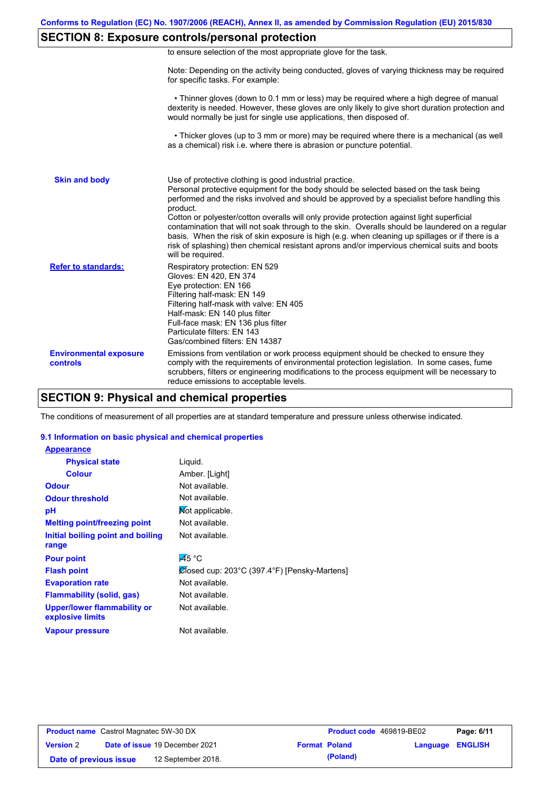# **SECTION 8: Exposure controls/personal protection**

| to ensure selection of the most appropriate glove for the task. |  |  |  |  |
|-----------------------------------------------------------------|--|--|--|--|
|                                                                 |  |  |  |  |

Note: Depending on the activity being conducted, gloves of varying thickness may be required for specific tasks. For example:

 • Thinner gloves (down to 0.1 mm or less) may be required where a high degree of manual dexterity is needed. However, these gloves are only likely to give short duration protection and would normally be just for single use applications, then disposed of.

 • Thicker gloves (up to 3 mm or more) may be required where there is a mechanical (as well as a chemical) risk i.e. where there is abrasion or puncture potential.

| <b>Skin and body</b>                      | Use of protective clothing is good industrial practice.<br>Personal protective equipment for the body should be selected based on the task being<br>performed and the risks involved and should be approved by a specialist before handling this<br>product.<br>Cotton or polyester/cotton overalls will only provide protection against light superficial<br>contamination that will not soak through to the skin. Overalls should be laundered on a regular<br>basis. When the risk of skin exposure is high (e.g. when cleaning up spillages or if there is a<br>risk of splashing) then chemical resistant aprons and/or impervious chemical suits and boots<br>will be required. |
|-------------------------------------------|---------------------------------------------------------------------------------------------------------------------------------------------------------------------------------------------------------------------------------------------------------------------------------------------------------------------------------------------------------------------------------------------------------------------------------------------------------------------------------------------------------------------------------------------------------------------------------------------------------------------------------------------------------------------------------------|
| <b>Refer to standards:</b>                | Respiratory protection: EN 529<br>Gloves: EN 420, EN 374<br>Eye protection: EN 166<br>Filtering half-mask: EN 149<br>Filtering half-mask with valve: EN 405<br>Half-mask: EN 140 plus filter<br>Full-face mask: EN 136 plus filter<br>Particulate filters: EN 143<br>Gas/combined filters: EN 14387                                                                                                                                                                                                                                                                                                                                                                                   |
| <b>Environmental exposure</b><br>controls | Emissions from ventilation or work process equipment should be checked to ensure they<br>comply with the requirements of environmental protection legislation. In some cases, fume<br>scrubbers, filters or engineering modifications to the process equipment will be necessary to<br>reduce emissions to acceptable levels.                                                                                                                                                                                                                                                                                                                                                         |

### **SECTION 9: Physical and chemical properties**

The conditions of measurement of all properties are at standard temperature and pressure unless otherwise indicated.

### **9.1 Information on basic physical and chemical properties**

| <b>Appearance</b>                                      |                                              |
|--------------------------------------------------------|----------------------------------------------|
| <b>Physical state</b>                                  | Liquid.                                      |
| <b>Colour</b>                                          | Amber. [Light]                               |
| <b>Odour</b>                                           | Not available.                               |
| <b>Odour threshold</b>                                 | Not available.                               |
| рH                                                     | Mot applicable.                              |
| <b>Melting point/freezing point</b>                    | Not available.                               |
| Initial boiling point and boiling<br>range             | Not available.                               |
| <b>Pour point</b>                                      | $\overline{45}$ °C                           |
|                                                        |                                              |
| <b>Flash point</b>                                     | Closed cup: 203°C (397.4°F) [Pensky-Martens] |
| <b>Evaporation rate</b>                                | Not available.                               |
| <b>Flammability (solid, gas)</b>                       | Not available.                               |
| <b>Upper/lower flammability or</b><br>explosive limits | Not available.                               |
| <b>Vapour pressure</b>                                 | Not available.                               |

| <b>Product name</b> Castrol Magnatec 5W-30 DX |  |                                | <b>Product code</b> 469819-BE02 |                      | Page: 6/11              |  |
|-----------------------------------------------|--|--------------------------------|---------------------------------|----------------------|-------------------------|--|
| <b>Version 2</b>                              |  | Date of issue 19 December 2021 |                                 | <b>Format Poland</b> | <b>Language ENGLISH</b> |  |
| Date of previous issue                        |  | 12 September 2018.             |                                 | (Poland)             |                         |  |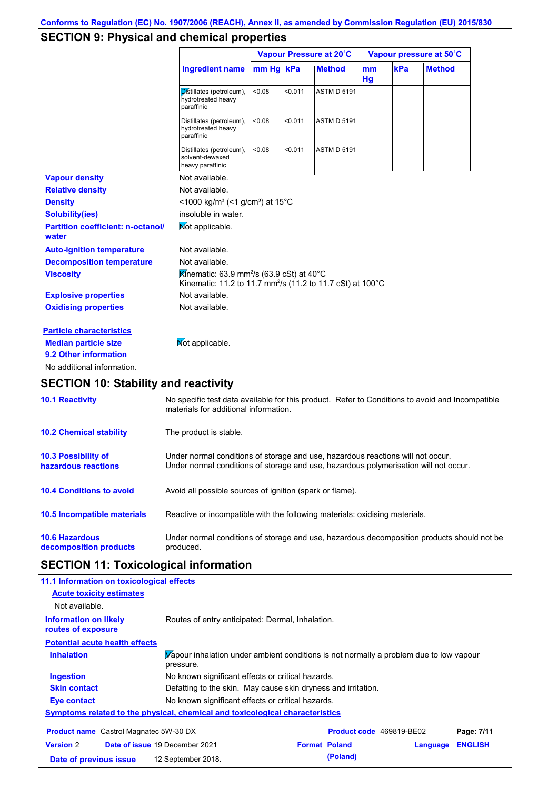# **SECTION 9: Physical and chemical properties**

|                                                   |                                                                                                                                          | Vapour Pressure at 20°C |         |                    | Vapour pressure at 50°C |     |               |
|---------------------------------------------------|------------------------------------------------------------------------------------------------------------------------------------------|-------------------------|---------|--------------------|-------------------------|-----|---------------|
|                                                   | Ingredient name                                                                                                                          | mm Hg kPa               |         | <b>Method</b>      | mm<br>Hg                | kPa | <b>Method</b> |
|                                                   | Distillates (petroleum),<br>hydrotreated heavy<br>paraffinic                                                                             | < 0.08                  | < 0.011 | <b>ASTM D 5191</b> |                         |     |               |
|                                                   | Distillates (petroleum),<br>hydrotreated heavy<br>paraffinic                                                                             | < 0.08                  | < 0.011 | <b>ASTM D 5191</b> |                         |     |               |
|                                                   | Distillates (petroleum),<br>solvent-dewaxed<br>heavy paraffinic                                                                          | < 0.08                  | < 0.011 | <b>ASTM D 5191</b> |                         |     |               |
| <b>Vapour density</b>                             | Not available.                                                                                                                           |                         |         |                    |                         |     |               |
| <b>Relative density</b>                           | Not available.                                                                                                                           |                         |         |                    |                         |     |               |
| <b>Density</b>                                    | <1000 kg/m <sup>3</sup> (<1 g/cm <sup>3</sup> ) at 15 <sup>°</sup> C                                                                     |                         |         |                    |                         |     |               |
| <b>Solubility(ies)</b>                            | insoluble in water.                                                                                                                      |                         |         |                    |                         |     |               |
| <b>Partition coefficient: n-octanol/</b><br>water | Mot applicable.                                                                                                                          |                         |         |                    |                         |     |               |
| <b>Auto-ignition temperature</b>                  | Not available.                                                                                                                           |                         |         |                    |                         |     |               |
| <b>Decomposition temperature</b>                  | Not available.                                                                                                                           |                         |         |                    |                         |     |               |
| <b>Viscosity</b>                                  | Kinematic: 63.9 mm <sup>2</sup> /s (63.9 cSt) at 40°C<br>Kinematic: 11.2 to 11.7 mm <sup>2</sup> /s (11.2 to 11.7 cSt) at 100°C          |                         |         |                    |                         |     |               |
| <b>Explosive properties</b>                       | Not available.                                                                                                                           |                         |         |                    |                         |     |               |
| <b>Oxidising properties</b>                       | Not available.                                                                                                                           |                         |         |                    |                         |     |               |
| <b>Particle characteristics</b>                   |                                                                                                                                          |                         |         |                    |                         |     |               |
| <b>Median particle size</b>                       | Mot applicable.                                                                                                                          |                         |         |                    |                         |     |               |
| 9.2 Other information                             |                                                                                                                                          |                         |         |                    |                         |     |               |
| No additional information.                        |                                                                                                                                          |                         |         |                    |                         |     |               |
| <b>SECTION 10: Stability and reactivity</b>       |                                                                                                                                          |                         |         |                    |                         |     |               |
| <b>10.1 Reactivity</b>                            | No specific test data available for this product. Refer to Conditions to avoid and Incompatible<br>materials for additional information. |                         |         |                    |                         |     |               |
| <b>10.2 Chemical stability</b>                    | The product is stable.                                                                                                                   |                         |         |                    |                         |     |               |

| 10.3 Possibility of                | Under normal conditions of storage and use, hazardous reactions will not occur.            |
|------------------------------------|--------------------------------------------------------------------------------------------|
| hazardous reactions                | Under normal conditions of storage and use, hazardous polymerisation will not occur.       |
| <b>10.4 Conditions to avoid</b>    | Avoid all possible sources of ignition (spark or flame).                                   |
| <b>10.5 Incompatible materials</b> | Reactive or incompatible with the following materials: oxidising materials.                |
| <b>10.6 Hazardous</b>              | Under normal conditions of storage and use, hazardous decomposition products should not be |
| decomposition products             | produced.                                                                                  |

# **SECTION 11: Toxicological information**

| 11.1 Information on toxicological effects                                    |                                                                                                     |                                 |          |                |
|------------------------------------------------------------------------------|-----------------------------------------------------------------------------------------------------|---------------------------------|----------|----------------|
| <b>Acute toxicity estimates</b>                                              |                                                                                                     |                                 |          |                |
| Not available.                                                               |                                                                                                     |                                 |          |                |
| <b>Information on likely</b><br>routes of exposure                           | Routes of entry anticipated: Dermal, Inhalation.                                                    |                                 |          |                |
| <b>Potential acute health effects</b>                                        |                                                                                                     |                                 |          |                |
| <b>Inhalation</b>                                                            | Vapour inhalation under ambient conditions is not normally a problem due to low vapour<br>pressure. |                                 |          |                |
| <b>Ingestion</b>                                                             | No known significant effects or critical hazards.                                                   |                                 |          |                |
| <b>Skin contact</b>                                                          | Defatting to the skin. May cause skin dryness and irritation.                                       |                                 |          |                |
| <b>Eye contact</b>                                                           | No known significant effects or critical hazards.                                                   |                                 |          |                |
| Symptoms related to the physical, chemical and toxicological characteristics |                                                                                                     |                                 |          |                |
| <b>Product name</b> Castrol Magnatec 5W-30 DX                                |                                                                                                     | <b>Product code</b> 469819-BE02 |          | Page: 7/11     |
| <b>Version 2</b>                                                             | Date of issue 19 December 2021                                                                      | <b>Format Poland</b>            | Language | <b>ENGLISH</b> |

**Date of previous issue (Poland)** 12 September 2018.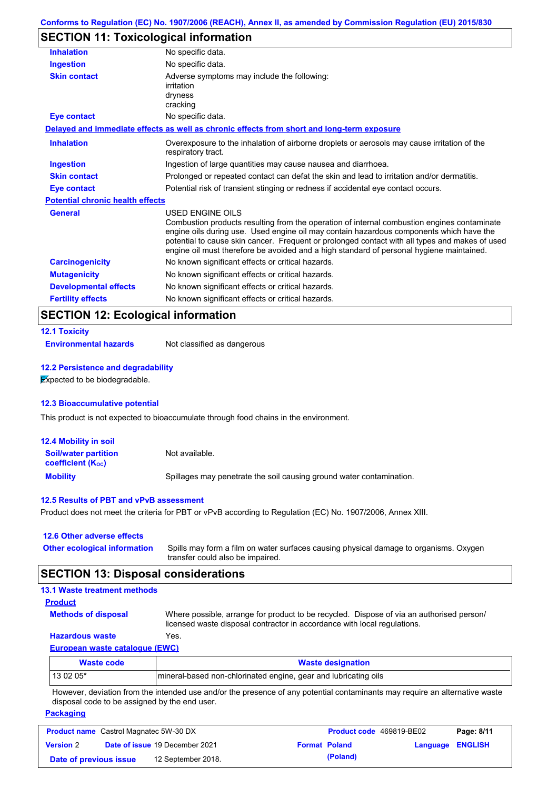# **SECTION 11: Toxicological information**

| <b>Inhalation</b>                       | No specific data.                                                                                                                                                                                                                                                                                                                                                                                               |  |  |
|-----------------------------------------|-----------------------------------------------------------------------------------------------------------------------------------------------------------------------------------------------------------------------------------------------------------------------------------------------------------------------------------------------------------------------------------------------------------------|--|--|
| <b>Ingestion</b>                        | No specific data.                                                                                                                                                                                                                                                                                                                                                                                               |  |  |
| <b>Skin contact</b>                     | Adverse symptoms may include the following:<br>irritation<br>dryness<br>cracking                                                                                                                                                                                                                                                                                                                                |  |  |
| Eye contact                             | No specific data.                                                                                                                                                                                                                                                                                                                                                                                               |  |  |
|                                         | Delayed and immediate effects as well as chronic effects from short and long-term exposure                                                                                                                                                                                                                                                                                                                      |  |  |
| <b>Inhalation</b>                       | Overexposure to the inhalation of airborne droplets or aerosols may cause irritation of the<br>respiratory tract.                                                                                                                                                                                                                                                                                               |  |  |
| <b>Ingestion</b>                        | Ingestion of large quantities may cause nausea and diarrhoea.                                                                                                                                                                                                                                                                                                                                                   |  |  |
| <b>Skin contact</b>                     | Prolonged or repeated contact can defat the skin and lead to irritation and/or dermatitis.                                                                                                                                                                                                                                                                                                                      |  |  |
| <b>Eye contact</b>                      | Potential risk of transient stinging or redness if accidental eye contact occurs.                                                                                                                                                                                                                                                                                                                               |  |  |
| <b>Potential chronic health effects</b> |                                                                                                                                                                                                                                                                                                                                                                                                                 |  |  |
| <b>General</b>                          | <b>USED ENGINE OILS</b><br>Combustion products resulting from the operation of internal combustion engines contaminate<br>engine oils during use. Used engine oil may contain hazardous components which have the<br>potential to cause skin cancer. Frequent or prolonged contact with all types and makes of used<br>engine oil must therefore be avoided and a high standard of personal hygiene maintained. |  |  |
| <b>Carcinogenicity</b>                  | No known significant effects or critical hazards.                                                                                                                                                                                                                                                                                                                                                               |  |  |
| <b>Mutagenicity</b>                     | No known significant effects or critical hazards.                                                                                                                                                                                                                                                                                                                                                               |  |  |
| <b>Developmental effects</b>            | No known significant effects or critical hazards.                                                                                                                                                                                                                                                                                                                                                               |  |  |
|                                         |                                                                                                                                                                                                                                                                                                                                                                                                                 |  |  |

# **SECTION 12: Ecological information**

|  | <b>12.1 Toxicity</b> |  |
|--|----------------------|--|
|--|----------------------|--|

**Environmental hazards** Not classified as dangerous

#### **12.2 Persistence and degradability**

**Expected to be biodegradable.** 

### **12.3 Bioaccumulative potential**

This product is not expected to bioaccumulate through food chains in the environment.

| <b>12.4 Mobility in soil</b>                            |                                                                      |
|---------------------------------------------------------|----------------------------------------------------------------------|
| <b>Soil/water partition</b><br><b>coefficient (Koc)</b> | Not available.                                                       |
| <b>Mobility</b>                                         | Spillages may penetrate the soil causing ground water contamination. |

### **12.5 Results of PBT and vPvB assessment**

Product does not meet the criteria for PBT or vPvB according to Regulation (EC) No. 1907/2006, Annex XIII.

### **12.6 Other adverse effects**

| Other ecological information Spills may form a film on water surfaces causing physical damage to organisms. Oxygen |
|--------------------------------------------------------------------------------------------------------------------|
| transfer could also be impaired.                                                                                   |

### **SECTION 13: Disposal considerations**

# **13.1 Waste treatment methods**

| יומי |  |
|------|--|
|      |  |

Where possible, arrange for product to be recycled. Dispose of via an authorised person/ licensed waste disposal contractor in accordance with local regulations.

### **Hazardous waste** Yes.

**Methods of disposal**

**European waste catalogue (EWC)**

| Waste code | <b>Waste designation</b>                                        |
|------------|-----------------------------------------------------------------|
| 13 02 05*  | mineral-based non-chlorinated engine, gear and lubricating oils |

However, deviation from the intended use and/or the presence of any potential contaminants may require an alternative waste disposal code to be assigned by the end user.

### **Packaging**

| <b>Product name</b> Castrol Magnatec 5W-30 DX |  | <b>Product code</b> 469819-BE02       |  | Page: 8/11           |                         |  |
|-----------------------------------------------|--|---------------------------------------|--|----------------------|-------------------------|--|
| <b>Version 2</b>                              |  | <b>Date of issue 19 December 2021</b> |  | <b>Format Poland</b> | <b>Language ENGLISH</b> |  |
| Date of previous issue                        |  | 12 September 2018.                    |  | (Poland)             |                         |  |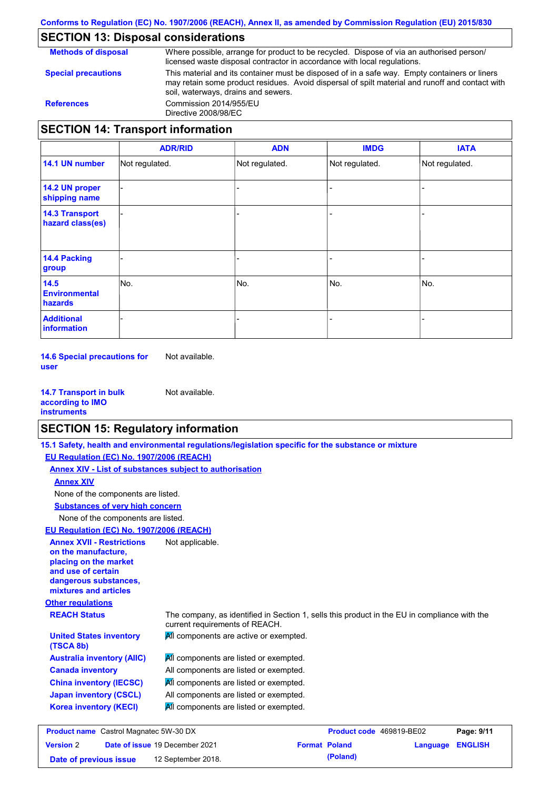# **SECTION 13: Disposal considerations**

Where possible, arrange for product to be recycled. Dispose of via an authorised person/ licensed waste disposal contractor in accordance with local regulations.

**Special precautions**

**Methods of disposal**

This material and its container must be disposed of in a safe way. Empty containers or liners may retain some product residues. Avoid dispersal of spilt material and runoff and contact with soil, waterways, drains and sewers. **References** Commission 2014/955/EU

# **SECTION 14: Transport information**

Directive 2008/98/EC

|                                           | <b>ADR/RID</b> | <b>ADN</b>     | <b>IMDG</b>              | <b>IATA</b>    |
|-------------------------------------------|----------------|----------------|--------------------------|----------------|
| 14.1 UN number                            | Not regulated. | Not regulated. | Not regulated.           | Not regulated. |
| 14.2 UN proper<br>shipping name           |                |                |                          |                |
| <b>14.3 Transport</b><br>hazard class(es) |                |                | -                        |                |
| 14.4 Packing<br>group                     |                |                | $\overline{\phantom{0}}$ |                |
| 14.5<br><b>Environmental</b><br>hazards   | No.            | No.            | No.                      | No.            |
| <b>Additional</b><br>information          |                |                |                          |                |

**14.6 Special precautions for user** Not available.

| <b>14.7 Transport in bulk</b> | Not available. |
|-------------------------------|----------------|
| according to IMO              |                |
| instruments                   |                |

### **SECTION 15: Regulatory information**

**15.1 Safety, health and environmental regulations/legislation specific for the substance or mixture**

**EU Regulation (EC) No. 1907/2006 (REACH)**

**Annex XIV - List of substances subject to authorisation**

### **Annex XIV**

None of the components are listed.

**Substances of very high concern**

None of the components are listed.

# **EU Regulation (EC) No. 1907/2006 (REACH)**

| <b>Annex XVII - Restrictions</b><br>on the manufacture,<br>placing on the market<br>and use of certain<br>dangerous substances,<br>mixtures and articles | Not applicable.                                                                                                                |
|----------------------------------------------------------------------------------------------------------------------------------------------------------|--------------------------------------------------------------------------------------------------------------------------------|
| <b>Other regulations</b>                                                                                                                                 |                                                                                                                                |
| <b>REACH Status</b>                                                                                                                                      | The company, as identified in Section 1, sells this product in the EU in compliance with the<br>current requirements of REACH. |
| <b>United States inventory</b><br>(TSCA 8b)                                                                                                              | All components are active or exempted.                                                                                         |
| <b>Australia inventory (AIIC)</b>                                                                                                                        | All components are listed or exempted.                                                                                         |
| <b>Canada inventory</b>                                                                                                                                  | All components are listed or exempted.                                                                                         |
| <b>China inventory (IECSC)</b>                                                                                                                           | All components are listed or exempted.                                                                                         |
| <b>Japan inventory (CSCL)</b>                                                                                                                            | All components are listed or exempted.                                                                                         |
| <b>Korea inventory (KECI)</b>                                                                                                                            | All components are listed or exempted.                                                                                         |
|                                                                                                                                                          |                                                                                                                                |

| <b>Product name</b> Castrol Magnatec 5W-30 DX |  | <b>Product code</b> 469819-BE02       |  | Page: 9/11           |                         |  |
|-----------------------------------------------|--|---------------------------------------|--|----------------------|-------------------------|--|
| <b>Version 2</b>                              |  | <b>Date of issue 19 December 2021</b> |  | <b>Format Poland</b> | <b>Language ENGLISH</b> |  |
| Date of previous issue                        |  | 12 September 2018.                    |  | (Poland)             |                         |  |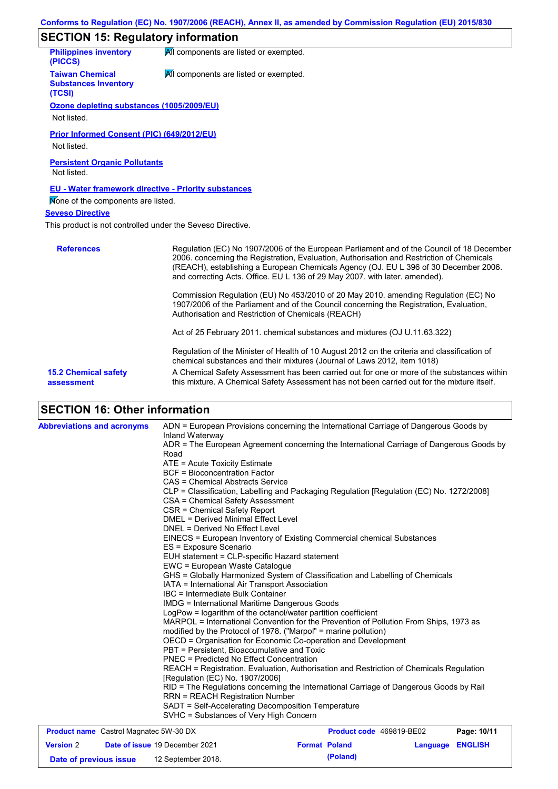| <b>SECTION 15: Regulatory information</b>                        |                                                                                                                                                                                                                                                                                                                                                               |  |  |  |
|------------------------------------------------------------------|---------------------------------------------------------------------------------------------------------------------------------------------------------------------------------------------------------------------------------------------------------------------------------------------------------------------------------------------------------------|--|--|--|
| <b>Philippines inventory</b><br>(PICCS)                          | All components are listed or exempted.                                                                                                                                                                                                                                                                                                                        |  |  |  |
| <b>Taiwan Chemical</b><br><b>Substances Inventory</b><br>(TCSI)  | All components are listed or exempted.                                                                                                                                                                                                                                                                                                                        |  |  |  |
| Ozone depleting substances (1005/2009/EU)<br>Not listed.         |                                                                                                                                                                                                                                                                                                                                                               |  |  |  |
| <b>Prior Informed Consent (PIC) (649/2012/EU)</b><br>Not listed. |                                                                                                                                                                                                                                                                                                                                                               |  |  |  |
| <b>Persistent Organic Pollutants</b><br>Not listed.              |                                                                                                                                                                                                                                                                                                                                                               |  |  |  |
| <b>EU - Water framework directive - Priority substances</b>      |                                                                                                                                                                                                                                                                                                                                                               |  |  |  |
| None of the components are listed.                               |                                                                                                                                                                                                                                                                                                                                                               |  |  |  |
| <b>Seveso Directive</b>                                          |                                                                                                                                                                                                                                                                                                                                                               |  |  |  |
| This product is not controlled under the Seveso Directive.       |                                                                                                                                                                                                                                                                                                                                                               |  |  |  |
| <b>References</b>                                                | Regulation (EC) No 1907/2006 of the European Parliament and of the Council of 18 December<br>2006. concerning the Registration, Evaluation, Authorisation and Restriction of Chemicals<br>(REACH), establishing a European Chemicals Agency (OJ. EU L 396 of 30 December 2006.<br>and correcting Acts. Office. EU L 136 of 29 May 2007. with later. amended). |  |  |  |

Commission Regulation (EU) No 453/2010 of 20 May 2010. amending Regulation (EC) No 1907/2006 of the Parliament and of the Council concerning the Registration, Evaluation, Authorisation and Restriction of Chemicals (REACH)

Act of 25 February 2011. chemical substances and mixtures (OJ U.11.63.322)

Regulation of the Minister of Health of 10 August 2012 on the criteria and classification of chemical substances and their mixtures (Journal of Laws 2012, item 1018)

A Chemical Safety Assessment has been carried out for one or more of the substances within this mixture. A Chemical Safety Assessment has not been carried out for the mixture itself.

**15.2 Chemical safety assessment**

# **SECTION 16: Other information**

| <b>Abbreviations and acronyms</b>             |                                                                 | ADN = European Provisions concerning the International Carriage of Dangerous Goods by    |             |
|-----------------------------------------------|-----------------------------------------------------------------|------------------------------------------------------------------------------------------|-------------|
|                                               | Inland Waterway                                                 |                                                                                          |             |
|                                               |                                                                 | ADR = The European Agreement concerning the International Carriage of Dangerous Goods by |             |
|                                               | Road                                                            |                                                                                          |             |
|                                               | ATE = Acute Toxicity Estimate                                   |                                                                                          |             |
|                                               | <b>BCF</b> = Bioconcentration Factor                            |                                                                                          |             |
|                                               | CAS = Chemical Abstracts Service                                |                                                                                          |             |
|                                               |                                                                 | CLP = Classification, Labelling and Packaging Regulation [Regulation (EC) No. 1272/2008] |             |
|                                               | CSA = Chemical Safety Assessment                                |                                                                                          |             |
|                                               | CSR = Chemical Safety Report                                    |                                                                                          |             |
|                                               | DMEL = Derived Minimal Effect Level                             |                                                                                          |             |
|                                               | DNEL = Derived No Effect Level                                  |                                                                                          |             |
|                                               |                                                                 | EINECS = European Inventory of Existing Commercial chemical Substances                   |             |
|                                               | ES = Exposure Scenario                                          |                                                                                          |             |
|                                               | EUH statement = CLP-specific Hazard statement                   |                                                                                          |             |
|                                               | EWC = European Waste Catalogue                                  |                                                                                          |             |
|                                               |                                                                 | GHS = Globally Harmonized System of Classification and Labelling of Chemicals            |             |
|                                               | IATA = International Air Transport Association                  |                                                                                          |             |
|                                               | IBC = Intermediate Bulk Container                               |                                                                                          |             |
|                                               | <b>IMDG = International Maritime Dangerous Goods</b>            |                                                                                          |             |
|                                               | LogPow = logarithm of the octanol/water partition coefficient   |                                                                                          |             |
|                                               |                                                                 | MARPOL = International Convention for the Prevention of Pollution From Ships, 1973 as    |             |
|                                               | modified by the Protocol of 1978. ("Marpol" = marine pollution) |                                                                                          |             |
|                                               |                                                                 | OECD = Organisation for Economic Co-operation and Development                            |             |
|                                               | PBT = Persistent. Bioaccumulative and Toxic                     |                                                                                          |             |
|                                               | <b>PNEC</b> = Predicted No Effect Concentration                 |                                                                                          |             |
|                                               |                                                                 | REACH = Registration, Evaluation, Authorisation and Restriction of Chemicals Regulation  |             |
|                                               | [Regulation (EC) No. 1907/2006]                                 |                                                                                          |             |
|                                               |                                                                 | RID = The Regulations concerning the International Carriage of Dangerous Goods by Rail   |             |
|                                               | <b>RRN = REACH Registration Number</b>                          |                                                                                          |             |
|                                               | SADT = Self-Accelerating Decomposition Temperature              |                                                                                          |             |
|                                               | SVHC = Substances of Very High Concern                          |                                                                                          |             |
| <b>Product name</b> Castrol Magnatec 5W-30 DX |                                                                 | <b>Product code</b> 469819-BE02                                                          | Page: 10/11 |

| <b>Product name</b> Castrol Magnatec 5W-30 DX |  |                                       | Product code 469819-BE02 | Page: 10/11          |                  |  |
|-----------------------------------------------|--|---------------------------------------|--------------------------|----------------------|------------------|--|
| <b>Version 2</b>                              |  | <b>Date of issue 19 December 2021</b> |                          | <b>Format Poland</b> | Language ENGLISH |  |
| Date of previous issue                        |  | 12 September 2018.                    |                          | (Poland)             |                  |  |